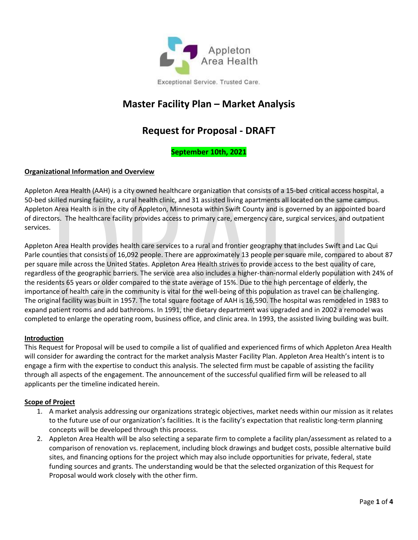

# **Master Facility Plan – Market Analysis**

# **Request for Proposal - DRAFT**

## **September 10th, 2021**

### **Organizational Information and Overview**

Appleton Area Health (AAH) is a city owned healthcare organization that consists of a 15-bed critical access hospital, a 50-bed skilled nursing facility, a rural health clinic, and 31 assisted living apartments all located on the same campus. Appleton Area Health is in the city of Appleton, Minnesota within Swift County and is governed by an appointed board of directors. The healthcare facility provides access to primary care, emergency care, surgical services, and outpatient services.

Appleton Area Health provides health care services to a rural and frontier geography that includes Swift and Lac Qui Parle counties that consists of 16,092 people. There are approximately 13 people per square mile, compared to about 87 per square mile across the United States. Appleton Area Health strives to provide access to the best quality of care, regardless of the geographic barriers. The service area also includes a higher-than-normal elderly population with 24% of the residents 65 years or older compared to the state average of 15%. Due to the high percentage of elderly, the importance of health care in the community is vital for the well-being of this population as travel can be challenging. The original facility was built in 1957. The total square footage of AAH is 16,590. The hospital was remodeled in 1983 to expand patient rooms and add bathrooms. In 1991, the dietary department was upgraded and in 2002 a remodel was completed to enlarge the operating room, business office, and clinic area. In 1993, the assisted living building was built.

#### **Introduction**

This Request for Proposal will be used to compile a list of qualified and experienced firms of which Appleton Area Health will consider for awarding the contract for the market analysis Master Facility Plan. Appleton Area Health's intent is to engage a firm with the expertise to conduct this analysis. The selected firm must be capable of assisting the facility through all aspects of the engagement. The announcement of the successful qualified firm will be released to all applicants per the timeline indicated herein.

#### **Scope of Project**

- 1. A market analysis addressing our organizations strategic objectives, market needs within our mission as it relates to the future use of our organization's facilities. It is the facility's expectation that realistic long-term planning concepts will be developed through this process.
- 2. Appleton Area Health will be also selecting a separate firm to complete a facility plan/assessment as related to a comparison of renovation vs. replacement, including block drawings and budget costs, possible alternative build sites, and financing options for the project which may also include opportunities for private, federal, state funding sources and grants. The understanding would be that the selected organization of this Request for Proposal would work closely with the other firm.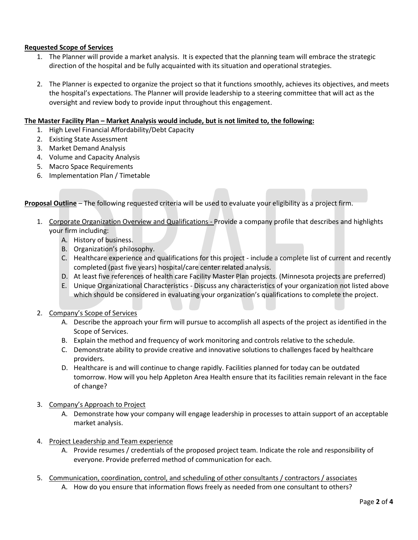#### **Requested Scope of Services**

- 1. The Planner will provide a market analysis. It is expected that the planning team will embrace the strategic direction of the hospital and be fully acquainted with its situation and operational strategies.
- 2. The Planner is expected to organize the project so that it functions smoothly, achieves its objectives, and meets the hospital's expectations. The Planner will provide leadership to a steering committee that will act as the oversight and review body to provide input throughout this engagement.

#### **The Master Facility Plan – Market Analysis would include, but is not limited to, the following:**

- 1. High Level Financial Affordability/Debt Capacity
- 2. Existing State Assessment
- 3. Market Demand Analysis
- 4. Volume and Capacity Analysis
- 5. Macro Space Requirements
- 6. Implementation Plan / Timetable

**Proposal Outline** – The following requested criteria will be used to evaluate your eligibility as a project firm.

- 1. Corporate Organization Overview and Qualifications Provide a company profile that describes and highlights your firm including:
	- A. History of business.
	- B. Organization's philosophy.
	- C. Healthcare experience and qualifications for this project include a complete list of current and recently completed (past five years) hospital/care center related analysis.
	- D. At least five references of health care Facility Master Plan projects. (Minnesota projects are preferred)
	- E. Unique Organizational Characteristics Discuss any characteristics of your organization not listed above which should be considered in evaluating your organization's qualifications to complete the project.
- 2. Company's Scope of Services
	- A. Describe the approach your firm will pursue to accomplish all aspects of the project as identified in the Scope of Services.
	- B. Explain the method and frequency of work monitoring and controls relative to the schedule.
	- C. Demonstrate ability to provide creative and innovative solutions to challenges faced by healthcare providers.
	- D. Healthcare is and will continue to change rapidly. Facilities planned for today can be outdated tomorrow. How will you help Appleton Area Health ensure that its facilities remain relevant in the face of change?
- 3. Company's Approach to Project
	- A. Demonstrate how your company will engage leadership in processes to attain support of an acceptable market analysis.
- 4. Project Leadership and Team experience
	- A. Provide resumes / credentials of the proposed project team. Indicate the role and responsibility of everyone. Provide preferred method of communication for each.
- 5. Communication, coordination, control, and scheduling of other consultants / contractors / associates
	- A. How do you ensure that information flows freely as needed from one consultant to others?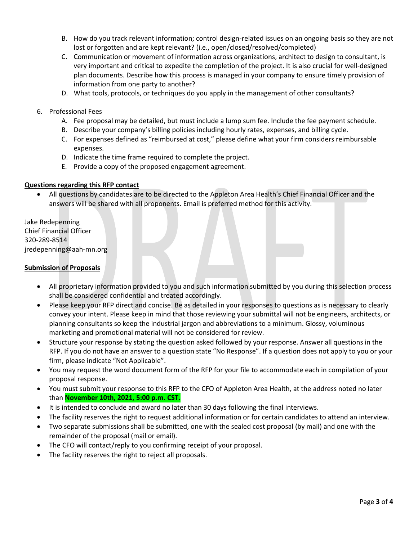- B. How do you track relevant information; control design-related issues on an ongoing basis so they are not lost or forgotten and are kept relevant? (i.e., open/closed/resolved/completed)
- C. Communication or movement of information across organizations, architect to design to consultant, is very important and critical to expedite the completion of the project. It is also crucial for well-designed plan documents. Describe how this process is managed in your company to ensure timely provision of information from one party to another?
- D. What tools, protocols, or techniques do you apply in the management of other consultants?
- 6. Professional Fees
	- A. Fee proposal may be detailed, but must include a lump sum fee. Include the fee payment schedule.
	- B. Describe your company's billing policies including hourly rates, expenses, and billing cycle.
	- C. For expenses defined as "reimbursed at cost," please define what your firm considers reimbursable expenses.
	- D. Indicate the time frame required to complete the project.
	- E. Provide a copy of the proposed engagement agreement.

#### **Questions regarding this RFP contact**

• All questions by candidates are to be directed to the Appleton Area Health's Chief Financial Officer and the answers will be shared with all proponents. Email is preferred method for this activity.

Jake Redepenning Chief Financial Officer 320-289-8514 jredepenning@aah-mn.org

#### **Submission of Proposals**

- All proprietary information provided to you and such information submitted by you during this selection process shall be considered confidential and treated accordingly.
- Please keep your RFP direct and concise. Be as detailed in your responses to questions as is necessary to clearly convey your intent. Please keep in mind that those reviewing your submittal will not be engineers, architects, or planning consultants so keep the industrial jargon and abbreviations to a minimum. Glossy, voluminous marketing and promotional material will not be considered for review.
- Structure your response by stating the question asked followed by your response. Answer all questions in the RFP. If you do not have an answer to a question state "No Response". If a question does not apply to you or your firm, please indicate "Not Applicable".
- You may request the word document form of the RFP for your file to accommodate each in compilation of your proposal response.
- You must submit your response to this RFP to the CFO of Appleton Area Health, at the address noted no later than **November 10th, 2021, 5:00 p.m. CST.**
- It is intended to conclude and award no later than 30 days following the final interviews.
- The facility reserves the right to request additional information or for certain candidates to attend an interview.
- Two separate submissions shall be submitted, one with the sealed cost proposal (by mail) and one with the remainder of the proposal (mail or email).
- The CFO will contact/reply to you confirming receipt of your proposal.
- The facility reserves the right to reject all proposals.